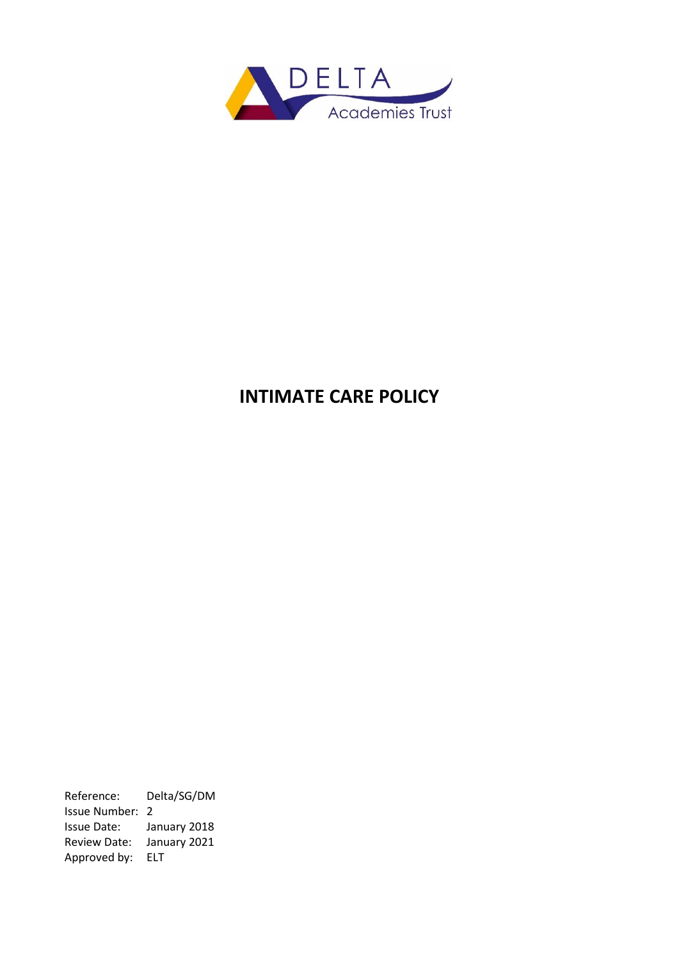

# **INTIMATE CARE POLICY**

Reference: Delta/SG/DM Issue Number: 2 Issue Date: January 2018 Review Date: January 2021 Approved by: ELT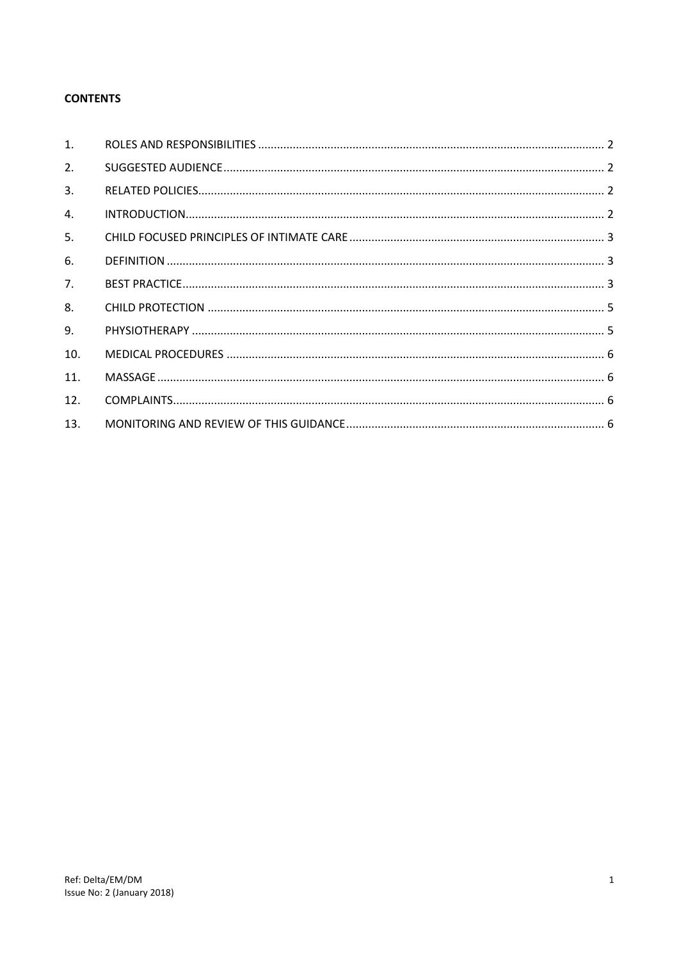# **CONTENTS**

| 1.  |  |
|-----|--|
| 2.  |  |
| 3.  |  |
| 4.  |  |
| 5.  |  |
| 6.  |  |
| 7.  |  |
| 8.  |  |
| 9.  |  |
| 10. |  |
| 11. |  |
| 12. |  |
| 13. |  |
|     |  |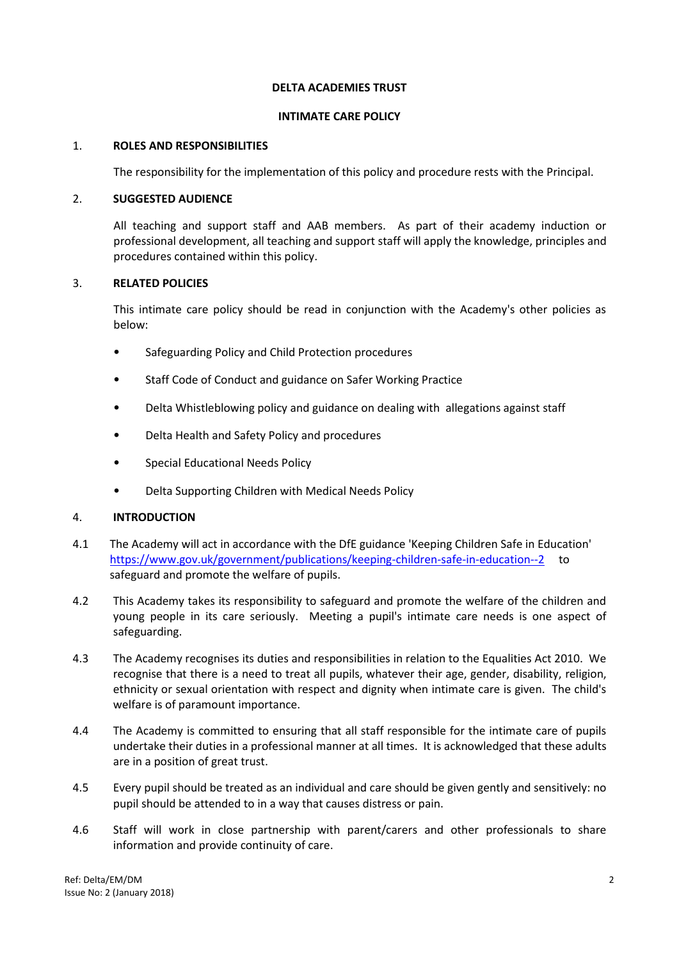## **DELTA ACADEMIES TRUST**

#### **INTIMATE CARE POLICY**

#### <span id="page-2-0"></span>1. **ROLES AND RESPONSIBILITIES**

The responsibility for the implementation of this policy and procedure rests with the Principal.

#### <span id="page-2-1"></span>2. **SUGGESTED AUDIENCE**

All teaching and support staff and AAB members. As part of their academy induction or professional development, all teaching and support staff will apply the knowledge, principles and procedures contained within this policy.

## <span id="page-2-2"></span>3. **RELATED POLICIES**

This intimate care policy should be read in conjunction with the Academy's other policies as below:

- Safeguarding Policy and Child Protection procedures
- Staff Code of Conduct and guidance on Safer Working Practice
- Delta Whistleblowing policy and guidance on dealing with allegations against staff
- Delta Health and Safety Policy and procedures
- Special Educational Needs Policy
- Delta Supporting Children with Medical Needs Policy

## <span id="page-2-3"></span>4. **INTRODUCTION**

- 4.1 The Academy will act in accordance with the DfE guidance 'Keeping Children Safe in Education' <https://www.gov.uk/government/publications/keeping-children-safe-in-education--2>to safeguard and promote the welfare of pupils.
- 4.2 This Academy takes its responsibility to safeguard and promote the welfare of the children and young people in its care seriously. Meeting a pupil's intimate care needs is one aspect of safeguarding.
- 4.3 The Academy recognises its duties and responsibilities in relation to the Equalities Act 2010. We recognise that there is a need to treat all pupils, whatever their age, gender, disability, religion, ethnicity or sexual orientation with respect and dignity when intimate care is given. The child's welfare is of paramount importance.
- 4.4 The Academy is committed to ensuring that all staff responsible for the intimate care of pupils undertake their duties in a professional manner at all times. It is acknowledged that these adults are in a position of great trust.
- 4.5 Every pupil should be treated as an individual and care should be given gently and sensitively: no pupil should be attended to in a way that causes distress or pain.
- 4.6 Staff will work in close partnership with parent/carers and other professionals to share information and provide continuity of care.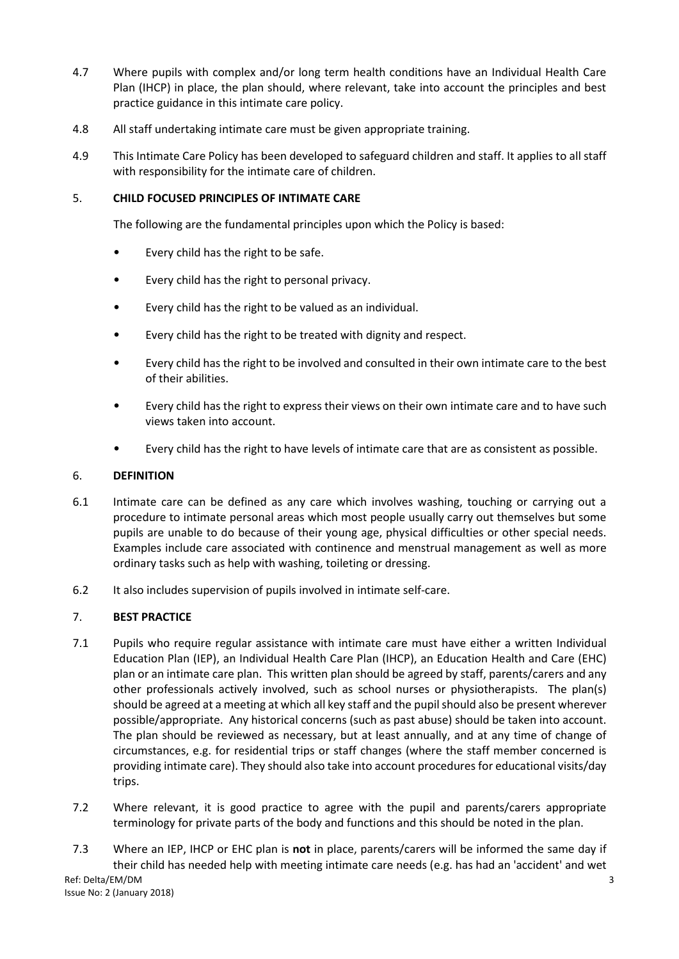- 4.7 Where pupils with complex and/or long term health conditions have an Individual Health Care Plan (IHCP) in place, the plan should, where relevant, take into account the principles and best practice guidance in this intimate care policy.
- 4.8 All staff undertaking intimate care must be given appropriate training.
- 4.9 This Intimate Care Policy has been developed to safeguard children and staff. It applies to all staff with responsibility for the intimate care of children.

# <span id="page-3-0"></span>5. **CHILD FOCUSED PRINCIPLES OF INTIMATE CARE**

The following are the fundamental principles upon which the Policy is based:

- Every child has the right to be safe.
- Every child has the right to personal privacy.
- Every child has the right to be valued as an individual.
- Every child has the right to be treated with dignity and respect.
- Every child has the right to be involved and consulted in their own intimate care to the best of their abilities.
- Every child has the right to express their views on their own intimate care and to have such views taken into account.
- Every child has the right to have levels of intimate care that are as consistent as possible.

# <span id="page-3-1"></span>6. **DEFINITION**

- 6.1 Intimate care can be defined as any care which involves washing, touching or carrying out a procedure to intimate personal areas which most people usually carry out themselves but some pupils are unable to do because of their young age, physical difficulties or other special needs. Examples include care associated with continence and menstrual management as well as more ordinary tasks such as help with washing, toileting or dressing.
- 6.2 It also includes supervision of pupils involved in intimate self-care.

## <span id="page-3-2"></span>7. **BEST PRACTICE**

- 7.1 Pupils who require regular assistance with intimate care must have either a written Individual Education Plan (IEP), an Individual Health Care Plan (IHCP), an Education Health and Care (EHC) plan or an intimate care plan. This written plan should be agreed by staff, parents/carers and any other professionals actively involved, such as school nurses or physiotherapists. The plan(s) should be agreed at a meeting at which all key staff and the pupil should also be present wherever possible/appropriate. Any historical concerns (such as past abuse) should be taken into account. The plan should be reviewed as necessary, but at least annually, and at any time of change of circumstances, e.g. for residential trips or staff changes (where the staff member concerned is providing intimate care). They should also take into account procedures for educational visits/day trips.
- 7.2 Where relevant, it is good practice to agree with the pupil and parents/carers appropriate terminology for private parts of the body and functions and this should be noted in the plan.
- Ref: Delta/EM/DM 3 Issue No: 2 (January 2018) 7.3 Where an IEP, IHCP or EHC plan is **not** in place, parents/carers will be informed the same day if their child has needed help with meeting intimate care needs (e.g. has had an 'accident' and wet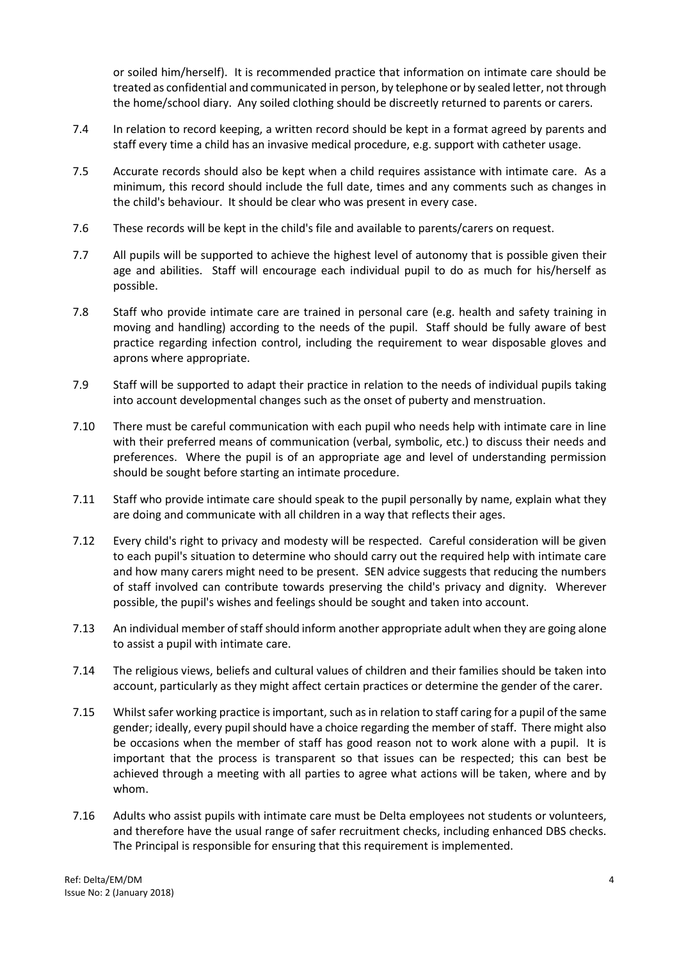or soiled him/herself). It is recommended practice that information on intimate care should be treated as confidential and communicated in person, by telephone or by sealed letter, not through the home/school diary. Any soiled clothing should be discreetly returned to parents or carers.

- 7.4 In relation to record keeping, a written record should be kept in a format agreed by parents and staff every time a child has an invasive medical procedure, e.g. support with catheter usage.
- 7.5 Accurate records should also be kept when a child requires assistance with intimate care. As a minimum, this record should include the full date, times and any comments such as changes in the child's behaviour. It should be clear who was present in every case.
- 7.6 These records will be kept in the child's file and available to parents/carers on request.
- 7.7 All pupils will be supported to achieve the highest level of autonomy that is possible given their age and abilities. Staff will encourage each individual pupil to do as much for his/herself as possible.
- 7.8 Staff who provide intimate care are trained in personal care (e.g. health and safety training in moving and handling) according to the needs of the pupil. Staff should be fully aware of best practice regarding infection control, including the requirement to wear disposable gloves and aprons where appropriate.
- 7.9 Staff will be supported to adapt their practice in relation to the needs of individual pupils taking into account developmental changes such as the onset of puberty and menstruation.
- 7.10 There must be careful communication with each pupil who needs help with intimate care in line with their preferred means of communication (verbal, symbolic, etc.) to discuss their needs and preferences. Where the pupil is of an appropriate age and level of understanding permission should be sought before starting an intimate procedure.
- 7.11 Staff who provide intimate care should speak to the pupil personally by name, explain what they are doing and communicate with all children in a way that reflects their ages.
- 7.12 Every child's right to privacy and modesty will be respected. Careful consideration will be given to each pupil's situation to determine who should carry out the required help with intimate care and how many carers might need to be present. SEN advice suggests that reducing the numbers of staff involved can contribute towards preserving the child's privacy and dignity. Wherever possible, the pupil's wishes and feelings should be sought and taken into account.
- 7.13 An individual member of staff should inform another appropriate adult when they are going alone to assist a pupil with intimate care.
- 7.14 The religious views, beliefs and cultural values of children and their families should be taken into account, particularly as they might affect certain practices or determine the gender of the carer.
- 7.15 Whilst safer working practice is important, such as in relation to staff caring for a pupil of the same gender; ideally, every pupil should have a choice regarding the member of staff. There might also be occasions when the member of staff has good reason not to work alone with a pupil. It is important that the process is transparent so that issues can be respected; this can best be achieved through a meeting with all parties to agree what actions will be taken, where and by whom.
- 7.16 Adults who assist pupils with intimate care must be Delta employees not students or volunteers, and therefore have the usual range of safer recruitment checks, including enhanced DBS checks. The Principal is responsible for ensuring that this requirement is implemented.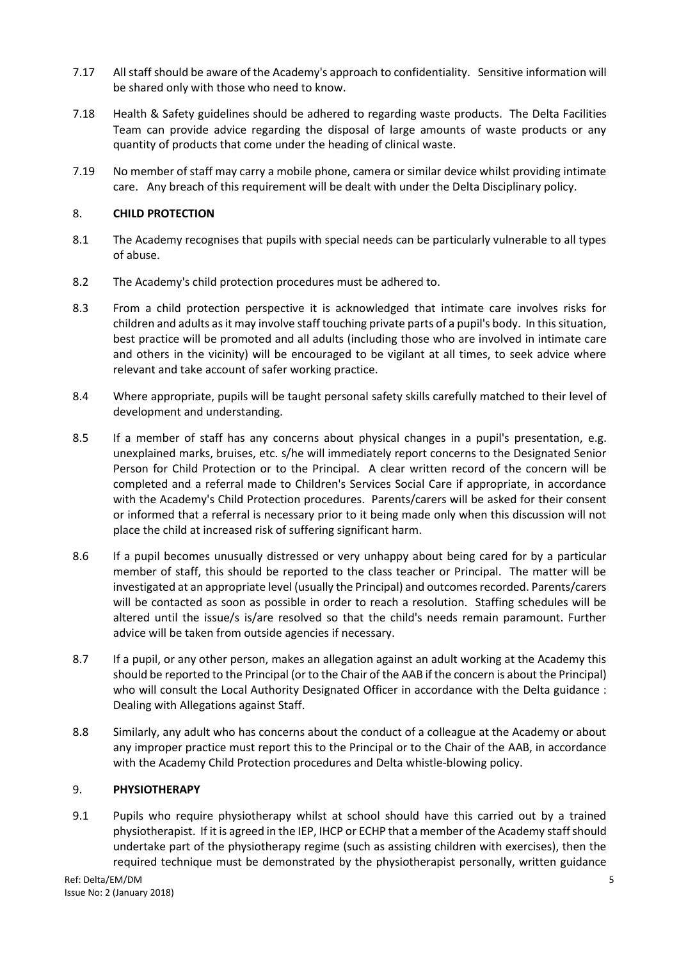- 7.17 All staff should be aware of the Academy's approach to confidentiality. Sensitive information will be shared only with those who need to know.
- 7.18 Health & Safety guidelines should be adhered to regarding waste products. The Delta Facilities Team can provide advice regarding the disposal of large amounts of waste products or any quantity of products that come under the heading of clinical waste.
- 7.19 No member of staff may carry a mobile phone, camera or similar device whilst providing intimate care. Any breach of this requirement will be dealt with under the Delta Disciplinary policy.

# <span id="page-5-0"></span>8. **CHILD PROTECTION**

- 8.1 The Academy recognises that pupils with special needs can be particularly vulnerable to all types of abuse.
- 8.2 The Academy's child protection procedures must be adhered to.
- 8.3 From a child protection perspective it is acknowledged that intimate care involves risks for children and adults as it may involve staff touching private parts of a pupil's body. In this situation, best practice will be promoted and all adults (including those who are involved in intimate care and others in the vicinity) will be encouraged to be vigilant at all times, to seek advice where relevant and take account of safer working practice.
- 8.4 Where appropriate, pupils will be taught personal safety skills carefully matched to their level of development and understanding.
- 8.5 If a member of staff has any concerns about physical changes in a pupil's presentation, e.g. unexplained marks, bruises, etc. s/he will immediately report concerns to the Designated Senior Person for Child Protection or to the Principal. A clear written record of the concern will be completed and a referral made to Children's Services Social Care if appropriate, in accordance with the Academy's Child Protection procedures. Parents/carers will be asked for their consent or informed that a referral is necessary prior to it being made only when this discussion will not place the child at increased risk of suffering significant harm.
- 8.6 If a pupil becomes unusually distressed or very unhappy about being cared for by a particular member of staff, this should be reported to the class teacher or Principal. The matter will be investigated at an appropriate level (usually the Principal) and outcomes recorded. Parents/carers will be contacted as soon as possible in order to reach a resolution. Staffing schedules will be altered until the issue/s is/are resolved so that the child's needs remain paramount. Further advice will be taken from outside agencies if necessary.
- 8.7 If a pupil, or any other person, makes an allegation against an adult working at the Academy this should be reported to the Principal (or to the Chair of the AAB if the concern is about the Principal) who will consult the Local Authority Designated Officer in accordance with the Delta guidance : Dealing with Allegations against Staff.
- 8.8 Similarly, any adult who has concerns about the conduct of a colleague at the Academy or about any improper practice must report this to the Principal or to the Chair of the AAB, in accordance with the Academy Child Protection procedures and Delta whistle-blowing policy.

# <span id="page-5-1"></span>9. **PHYSIOTHERAPY**

9.1 Pupils who require physiotherapy whilst at school should have this carried out by a trained physiotherapist. If it is agreed in the IEP, IHCP or ECHP that a member of the Academy staff should undertake part of the physiotherapy regime (such as assisting children with exercises), then the required technique must be demonstrated by the physiotherapist personally, written guidance